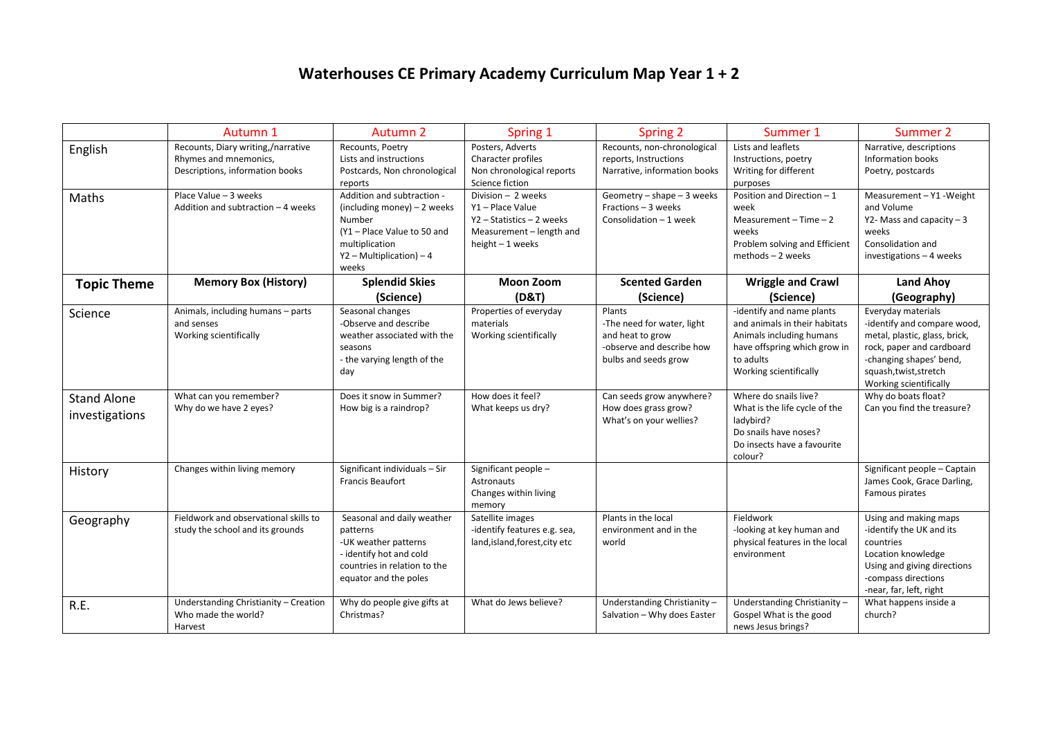## **Waterhouses CE Primary Academy Curriculum Map Year 1 + 2**

|                                      | Autumn 1                                                                                       | Autumn 2                                                                                                                                                     | Spring 1                                                                                                            | Spring 2                                                                                                      | Summer 1                                                                                                                                                      | Summer 2                                                                                                                                                                                     |
|--------------------------------------|------------------------------------------------------------------------------------------------|--------------------------------------------------------------------------------------------------------------------------------------------------------------|---------------------------------------------------------------------------------------------------------------------|---------------------------------------------------------------------------------------------------------------|---------------------------------------------------------------------------------------------------------------------------------------------------------------|----------------------------------------------------------------------------------------------------------------------------------------------------------------------------------------------|
| English                              | Recounts, Diary writing,/narrative<br>Rhymes and mnemonics,<br>Descriptions, information books | Recounts, Poetry<br>Lists and instructions<br>Postcards, Non chronological<br>reports                                                                        | Posters, Adverts<br>Character profiles<br>Non chronological reports<br>Science fiction                              | Recounts, non-chronological<br>reports, Instructions<br>Narrative, information books                          | Lists and leaflets<br>Instructions, poetry<br>Writing for different<br>purposes                                                                               | Narrative, descriptions<br>Information books<br>Poetry, postcards                                                                                                                            |
| Maths                                | Place Value - 3 weeks<br>Addition and subtraction - 4 weeks                                    | Addition and subtraction -<br>(including money) $-2$ weeks<br>Number<br>(Y1 - Place Value to 50 and<br>multiplication<br>$Y2$ – Multiplication) – 4<br>weeks | Division - 2 weeks<br>Y1 - Place Value<br>Y2 - Statistics - 2 weeks<br>Measurement - length and<br>height - 1 weeks | Geometry - shape - 3 weeks<br>Fractions - 3 weeks<br>Consolidation - 1 week                                   | Position and Direction - 1<br>week<br>Measurement $-$ Time $-2$<br>weeks<br>Problem solving and Efficient<br>methods - 2 weeks                                | Measurement - Y1 - Weight<br>and Volume<br>Y2- Mass and capacity $-3$<br>weeks<br>Consolidation and<br>investigations - 4 weeks                                                              |
| <b>Topic Theme</b>                   | <b>Memory Box (History)</b>                                                                    | <b>Splendid Skies</b><br>(Science)                                                                                                                           | <b>Moon Zoom</b><br>(D&T)                                                                                           | <b>Scented Garden</b><br>(Science)                                                                            | <b>Wriggle and Crawl</b><br>(Science)                                                                                                                         | <b>Land Ahoy</b><br>(Geography)                                                                                                                                                              |
| Science                              | Animals, including humans - parts<br>and senses<br>Working scientifically                      | Seasonal changes<br>-Observe and describe<br>weather associated with the<br>seasons<br>- the varying length of the<br>day                                    | Properties of everyday<br>materials<br>Working scientifically                                                       | Plants<br>-The need for water, light<br>and heat to grow<br>-observe and describe how<br>bulbs and seeds grow | -identify and name plants<br>and animals in their habitats<br>Animals including humans<br>have offspring which grow in<br>to adults<br>Working scientifically | Everyday materials<br>-identify and compare wood,<br>metal, plastic, glass, brick,<br>rock, paper and cardboard<br>-changing shapes' bend,<br>squash,twist,stretch<br>Working scientifically |
| <b>Stand Alone</b><br>investigations | What can you remember?<br>Why do we have 2 eyes?                                               | Does it snow in Summer?<br>How big is a raindrop?                                                                                                            | How does it feel?<br>What keeps us dry?                                                                             | Can seeds grow anywhere?<br>How does grass grow?<br>What's on your wellies?                                   | Where do snails live?<br>What is the life cycle of the<br>ladybird?<br>Do snails have noses?<br>Do insects have a favourite<br>colour?                        | Why do boats float?<br>Can you find the treasure?                                                                                                                                            |
| History                              | Changes within living memory                                                                   | Significant individuals - Sir<br><b>Francis Beaufort</b>                                                                                                     | Significant people -<br>Astronauts<br>Changes within living<br>memory                                               |                                                                                                               |                                                                                                                                                               | Significant people - Captain<br>James Cook, Grace Darling,<br>Famous pirates                                                                                                                 |
| Geography                            | Fieldwork and observational skills to<br>study the school and its grounds                      | Seasonal and daily weather<br>patterns<br>-UK weather patterns<br>- identify hot and cold<br>countries in relation to the<br>equator and the poles           | Satellite images<br>-identify features e.g. sea,<br>land, island, forest, city etc                                  | Plants in the local<br>environment and in the<br>world                                                        | Fieldwork<br>-looking at key human and<br>physical features in the local<br>environment                                                                       | Using and making maps<br>-identify the UK and its<br>countries<br>Location knowledge<br>Using and giving directions<br>-compass directions<br>-near, far, left, right                        |
| R.E.                                 | Understanding Christianity - Creation<br>Who made the world?<br>Harvest                        | Why do people give gifts at<br>Christmas?                                                                                                                    | What do Jews believe?                                                                                               | Understanding Christianity-<br>Salvation - Why does Easter                                                    | Understanding Christianity-<br>Gospel What is the good<br>news Jesus brings?                                                                                  | What happens inside a<br>church?                                                                                                                                                             |